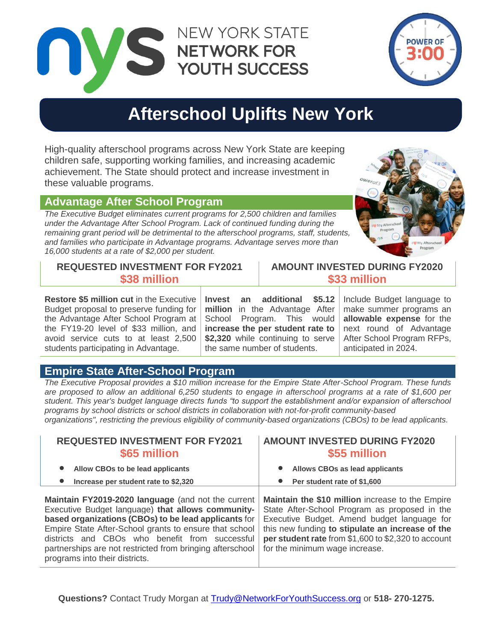NEW YORK STATE NETWORK FOR YOUTH SUCCESS



# **Afterschool Uplifts New York**

High-quality afterschool programs across New York State are keeping children safe, supporting working families, and increasing academic achievement. The State should protect and increase investment in these valuable programs.

## **Advantage After School Program**

*The Executive Budget eliminates current programs for 2,500 children and families under the Advantage After School Program. Lack of continued funding during the remaining grant period will be detrimental to the afterschool programs, staff, students, and families who participate in Advantage programs. Advantage serves more than 16,000 students at a rate of \$2,000 per student.*



# **REQUESTED INVESTMENT FOR FY2021 \$38 million**

**Restore \$5 million cut** in the Executive Budget proposal to preserve funding for the Advantage After School Program at the FY19-20 level of \$33 million, and avoid service cuts to at least 2,500 students participating in Advantage.

**Invest an additional \$5.12 million** in the Advantage After School Program. This would **increase the per student rate to \$2,320** while continuing to serve the same number of students.

Include Budget language to make summer programs an **allowable expense** for the next round of Advantage After School Program RFPs, anticipated in 2024.

**AMOUNT INVESTED DURING FY2020 \$33 million**

## **Empire State After-School Program**

*The Executive Proposal provides a \$10 million increase for the Empire State After-School Program. These funds are proposed to allow an additional 6,250 students to engage in afterschool programs at a rate of \$1,600 per student. This year's budget language directs funds "to support the establishment and/or expansion of afterschool programs by school districts or school districts in collaboration with not-for-profit community-based organizations", restricting the previous eligibility of community-based organizations (CBOs) to be lead applicants.*

| <b>REQUESTED INVESTMENT FOR FY2021</b><br>\$65 million                                                                                                                                                                                                                                                                                                                     | <b>AMOUNT INVESTED DURING FY2020</b><br>\$55 million                                                                                                                                                                                                                                          |
|----------------------------------------------------------------------------------------------------------------------------------------------------------------------------------------------------------------------------------------------------------------------------------------------------------------------------------------------------------------------------|-----------------------------------------------------------------------------------------------------------------------------------------------------------------------------------------------------------------------------------------------------------------------------------------------|
| Allow CBOs to be lead applicants                                                                                                                                                                                                                                                                                                                                           | Allows CBOs as lead applicants                                                                                                                                                                                                                                                                |
| Increase per student rate to \$2,320                                                                                                                                                                                                                                                                                                                                       | Per student rate of \$1,600                                                                                                                                                                                                                                                                   |
| Maintain FY2019-2020 language (and not the current<br>Executive Budget language) that allows community-<br>based organizations (CBOs) to be lead applicants for<br>Empire State After-School grants to ensure that school<br>districts and CBOs who benefit from successful<br>partnerships are not restricted from bringing afterschool<br>programs into their districts. | Maintain the \$10 million increase to the Empire<br>State After-School Program as proposed in the<br>Executive Budget. Amend budget language for<br>this new funding to stipulate an increase of the<br>per student rate from \$1,600 to \$2,320 to account<br>for the minimum wage increase. |